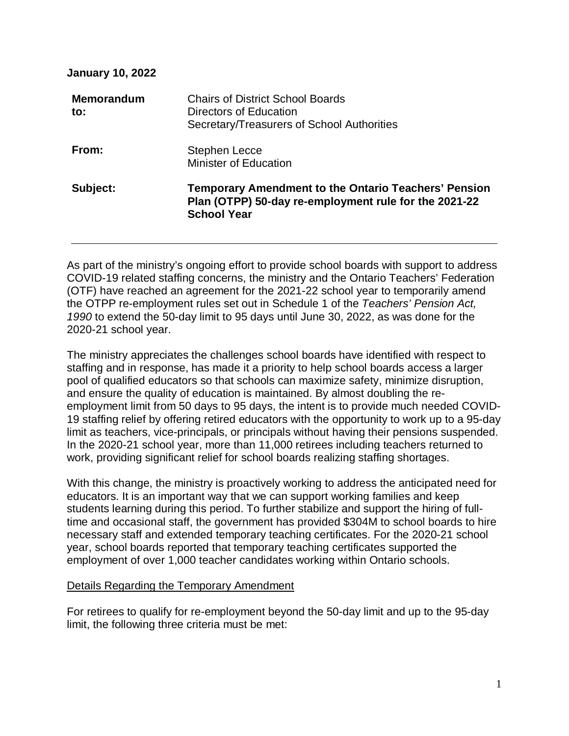**January 10, 2022** 

| <b>Memorandum</b><br>to: | <b>Chairs of District School Boards</b><br>Directors of Education<br>Secretary/Treasurers of School Authorities                            |
|--------------------------|--------------------------------------------------------------------------------------------------------------------------------------------|
| From:                    | <b>Stephen Lecce</b><br><b>Minister of Education</b>                                                                                       |
| Subject:                 | <b>Temporary Amendment to the Ontario Teachers' Pension</b><br>Plan (OTPP) 50-day re-employment rule for the 2021-22<br><b>School Year</b> |

As part of the ministry's ongoing effort to provide school boards with support to address COVID-19 related staffing concerns, the ministry and the Ontario Teachers' Federation (OTF) have reached an agreement for the 2021-22 school year to temporarily amend the OTPP re-employment rules set out in Schedule 1 of the *Teachers' Pension Act, 1990* to extend the 50-day limit to 95 days until June 30, 2022, as was done for the 2020-21 school year.

The ministry appreciates the challenges school boards have identified with respect to staffing and in response, has made it a priority to help school boards access a larger pool of qualified educators so that schools can maximize safety, minimize disruption, and ensure the quality of education is maintained. By almost doubling the reemployment limit from 50 days to 95 days, the intent is to provide much needed COVID-19 staffing relief by offering retired educators with the opportunity to work up to a 95-day limit as teachers, vice-principals, or principals without having their pensions suspended. In the 2020-21 school year, more than 11,000 retirees including teachers returned to work, providing significant relief for school boards realizing staffing shortages.

With this change, the ministry is proactively working to address the anticipated need for educators. It is an important way that we can support working families and keep students learning during this period. To further stabilize and support the hiring of fulltime and occasional staff, the government has provided \$304M to school boards to hire necessary staff and extended temporary teaching certificates. For the 2020-21 school year, school boards reported that temporary teaching certificates supported the employment of over 1,000 teacher candidates working within Ontario schools.

## Details Regarding the Temporary Amendment

For retirees to qualify for re-employment beyond the 50-day limit and up to the 95-day limit, the following three criteria must be met: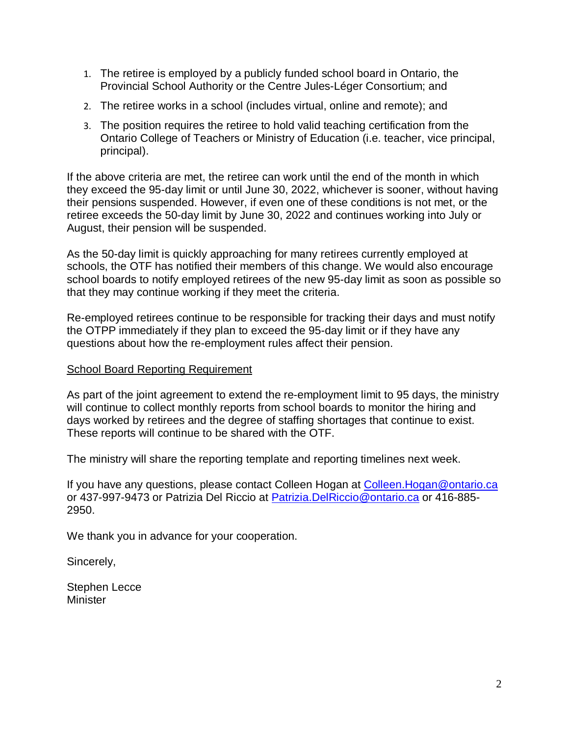- 1. The retiree is employed by a publicly funded school board in Ontario, the Provincial School Authority or the Centre Jules-Léger Consortium; and
- 2. The retiree works in a school (includes virtual, online and remote); and
- 3. The position requires the retiree to hold valid teaching certification from the Ontario College of Teachers or Ministry of Education (i.e. teacher, vice principal, principal).

If the above criteria are met, the retiree can work until the end of the month in which they exceed the 95-day limit or until June 30, 2022, whichever is sooner, without having their pensions suspended. However, if even one of these conditions is not met, or the retiree exceeds the 50-day limit by June 30, 2022 and continues working into July or August, their pension will be suspended.

As the 50-day limit is quickly approaching for many retirees currently employed at schools, the OTF has notified their members of this change. We would also encourage school boards to notify employed retirees of the new 95-day limit as soon as possible so that they may continue working if they meet the criteria.

Re-employed retirees continue to be responsible for tracking their days and must notify the OTPP immediately if they plan to exceed the 95-day limit or if they have any questions about how the re-employment rules affect their pension.

## School Board Reporting Requirement

As part of the joint agreement to extend the re-employment limit to 95 days, the ministry will continue to collect monthly reports from school boards to monitor the hiring and days worked by retirees and the degree of staffing shortages that continue to exist. These reports will continue to be shared with the OTF.

The ministry will share the reporting template and reporting timelines next week.

If you have any questions, please contact Colleen Hogan at [Colleen.Hogan@ontario.ca](mailto:Colleen.Hogan@ontario.ca) or 437-997-9473 or Patrizia Del Riccio at [Patrizia.DelRiccio@ontario.ca](mailto:Patrizia.DelRiccio@ontario.ca) or 416-885- 2950.

We thank you in advance for your cooperation.

Sincerely,

Stephen Lecce Minister